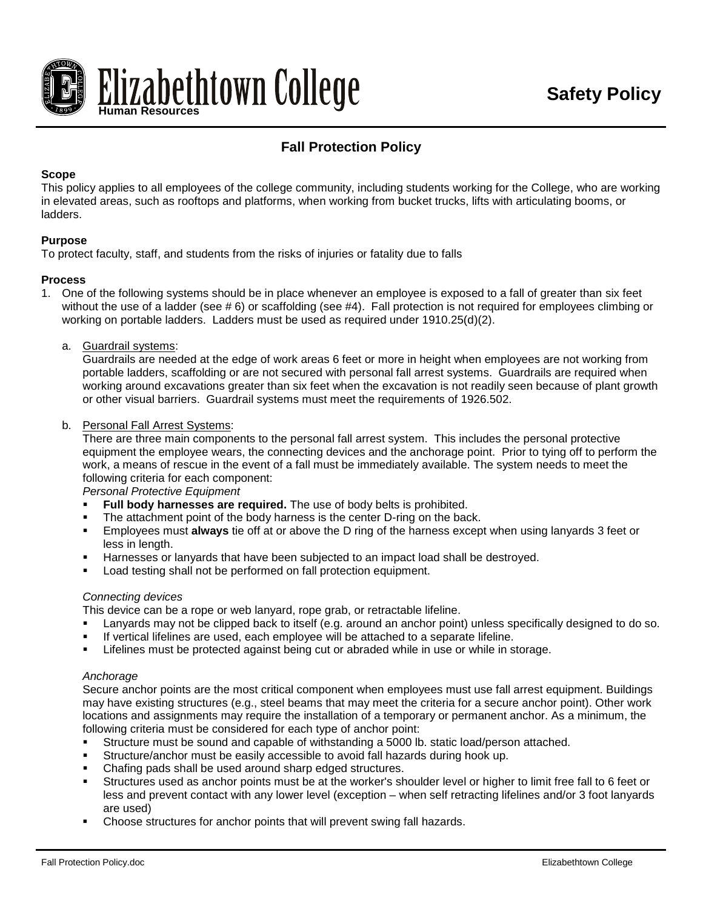

# **Fall Protection Policy**

# **Scope**

This policy applies to all employees of the college community, including students working for the College, who are working in elevated areas, such as rooftops and platforms, when working from bucket trucks, lifts with articulating booms, or ladders.

# **Purpose**

To protect faculty, staff, and students from the risks of injuries or fatality due to falls

# **Process**

- 1. One of the following systems should be in place whenever an employee is exposed to a fall of greater than six feet without the use of a ladder (see #6) or scaffolding (see #4). Fall protection is not required for employees climbing or working on portable ladders. Ladders must be used as required under 1910.25(d)(2).
	- a. Guardrail systems:

Guardrails are needed at the edge of work areas 6 feet or more in height when employees are not working from portable ladders, scaffolding or are not secured with personal fall arrest systems. Guardrails are required when working around excavations greater than six feet when the excavation is not readily seen because of plant growth or other visual barriers. Guardrail systems must meet the requirements of 1926.502.

#### b. Personal Fall Arrest Systems:

There are three main components to the personal fall arrest system. This includes the personal protective equipment the employee wears, the connecting devices and the anchorage point. Prior to tying off to perform the work, a means of rescue in the event of a fall must be immediately available. The system needs to meet the following criteria for each component:

*Personal Protective Equipment*

- **Full body harnesses are required.** The use of body belts is prohibited.
- The attachment point of the body harness is the center D-ring on the back.
- Employees must **always** tie off at or above the D ring of the harness except when using lanyards 3 feet or less in length.
- Harnesses or lanyards that have been subjected to an impact load shall be destroyed.
- **Load testing shall not be performed on fall protection equipment.**

#### *Connecting devices*

This device can be a rope or web lanyard, rope grab, or retractable lifeline.

- Lanyards may not be clipped back to itself (e.g. around an anchor point) unless specifically designed to do so.
- If vertical lifelines are used, each employee will be attached to a separate lifeline.
- **EXECTED FIGHTS IN EXECTED LIFE IS NOTED IN STARK IS CONCOCO FIGHTS IN STARK ISLES**. Lifelines must be protected against being cut or abrade.

#### *Anchorage*

Secure anchor points are the most critical component when employees must use fall arrest equipment. Buildings may have existing structures (e.g., steel beams that may meet the criteria for a secure anchor point). Other work locations and assignments may require the installation of a temporary or permanent anchor. As a minimum, the following criteria must be considered for each type of anchor point:

- Structure must be sound and capable of withstanding a 5000 lb. static load/person attached.
- Structure/anchor must be easily accessible to avoid fall hazards during hook up.
- Chafing pads shall be used around sharp edged structures.
- Structures used as anchor points must be at the worker's shoulder level or higher to limit free fall to 6 feet or less and prevent contact with any lower level (exception – when self retracting lifelines and/or 3 foot lanyards are used)
- Choose structures for anchor points that will prevent swing fall hazards.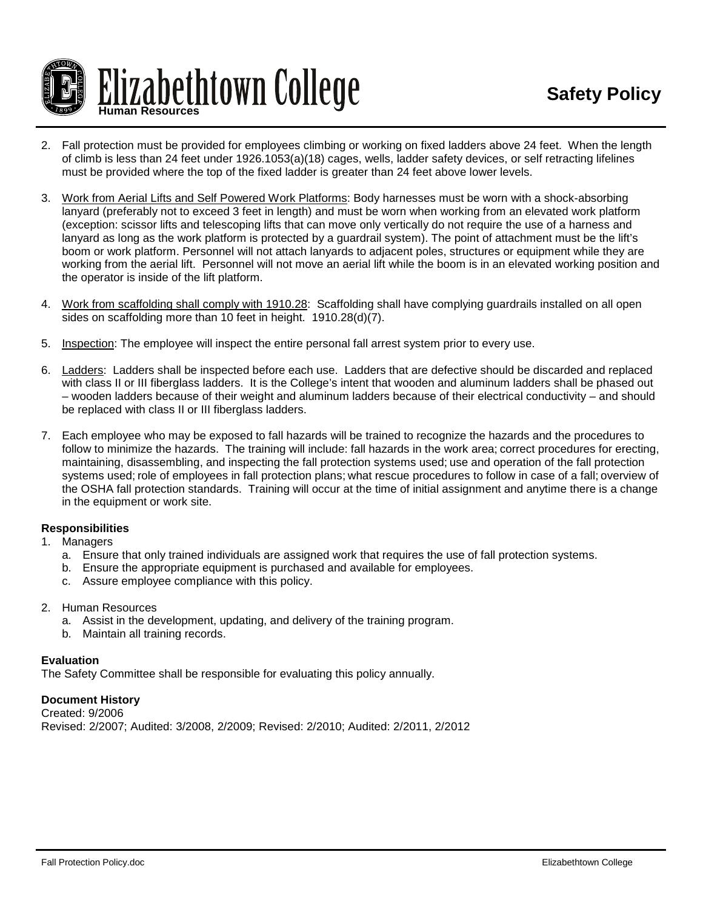

- 2. Fall protection must be provided for employees climbing or working on fixed ladders above 24 feet. When the length of climb is less than 24 feet under 1926.1053(a)(18) cages, wells, ladder safety devices, or self retracting lifelines must be provided where the top of the fixed ladder is greater than 24 feet above lower levels.
- 3. Work from Aerial Lifts and Self Powered Work Platforms: Body harnesses must be worn with a shock-absorbing lanyard (preferably not to exceed 3 feet in length) and must be worn when working from an elevated work platform (exception: scissor lifts and telescoping lifts that can move only vertically do not require the use of a harness and lanyard as long as the work platform is protected by a guardrail system). The point of attachment must be the lift's boom or work platform. Personnel will not attach lanyards to adjacent poles, structures or equipment while they are working from the aerial lift. Personnel will not move an aerial lift while the boom is in an elevated working position and the operator is inside of the lift platform.
- 4. Work from scaffolding shall comply with 1910.28: Scaffolding shall have complying guardrails installed on all open sides on scaffolding more than 10 feet in height. 1910.28(d)(7).
- 5. Inspection: The employee will inspect the entire personal fall arrest system prior to every use.
- 6. Ladders: Ladders shall be inspected before each use. Ladders that are defective should be discarded and replaced with class II or III fiberglass ladders. It is the College's intent that wooden and aluminum ladders shall be phased out – wooden ladders because of their weight and aluminum ladders because of their electrical conductivity – and should be replaced with class II or III fiberglass ladders.
- 7. Each employee who may be exposed to fall hazards will be trained to recognize the hazards and the procedures to follow to minimize the hazards. The training will include: fall hazards in the work area; correct procedures for erecting, maintaining, disassembling, and inspecting the fall protection systems used; use and operation of the fall protection systems used; role of employees in fall protection plans; what rescue procedures to follow in case of a fall; overview of the OSHA fall protection standards. Training will occur at the time of initial assignment and anytime there is a change in the equipment or work site.

#### **Responsibilities**

- 1. Managers
	- a. Ensure that only trained individuals are assigned work that requires the use of fall protection systems.
	- b. Ensure the appropriate equipment is purchased and available for employees.
	- c. Assure employee compliance with this policy.
- 2. Human Resources
	- a. Assist in the development, updating, and delivery of the training program.
	- b. Maintain all training records.

#### **Evaluation**

The Safety Committee shall be responsible for evaluating this policy annually.

# **Document History**

Created: 9/2006 Revised: 2/2007; Audited: 3/2008, 2/2009; Revised: 2/2010; Audited: 2/2011, 2/2012